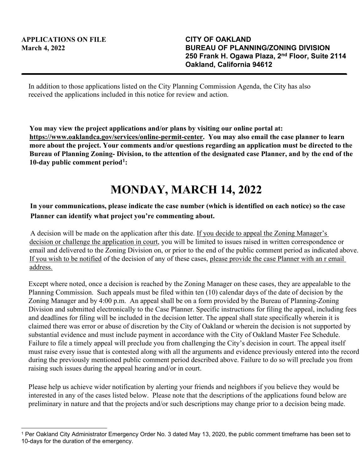In addition to those applications listed on the City Planning Commission Agenda, the City has also received the applications included in this notice for review and action.

**You may view the project applications and/or plans by visiting our online portal at: https://www.oaklandca.gov/services/online-permit-center. You may also email the case planner to learn more about the project. Your comments and/or questions regarding an application must be directed to the Bureau of Planning Zoning- Division, to the attention of the designated case Planner, and by the end of the 10-day public comment period[1](#page-0-0):**

## **MONDAY, MARCH 14, 2022**

## **In your communications, please indicate the case number (which is identified on each notice) so the case Planner can identify what project you're commenting about.**

A decision will be made on the application after this date. If you decide to appeal the Zoning Manager's decision or challenge the application in court, you will be limited to issues raised in written correspondence or email and delivered to the Zoning Division on, or prior to the end of the public comment period as indicated above. If you wish to be notified of the decision of any of these cases, please provide the case Planner with an r email address.

Except where noted, once a decision is reached by the Zoning Manager on these cases, they are appealable to the Planning Commission. Such appeals must be filed within ten (10) calendar days of the date of decision by the Zoning Manager and by 4:00 p.m. An appeal shall be on a form provided by the Bureau of Planning-Zoning Division and submitted electronically to the Case Planner. Specific instructions for filing the appeal, including fees and deadlines for filing will be included in the decision letter. The appeal shall state specifically wherein it is claimed there was error or abuse of discretion by the City of Oakland or wherein the decision is not supported by substantial evidence and must include payment in accordance with the City of Oakland Master Fee Schedule. Failure to file a timely appeal will preclude you from challenging the City's decision in court. The appeal itself must raise every issue that is contested along with all the arguments and evidence previously entered into the record during the previously mentioned public comment period described above. Failure to do so will preclude you from raising such issues during the appeal hearing and/or in court.

Please help us achieve wider notification by alerting your friends and neighbors if you believe they would be interested in any of the cases listed below. Please note that the descriptions of the applications found below are preliminary in nature and that the projects and/or such descriptions may change prior to a decision being made.

<span id="page-0-0"></span><sup>1</sup> Per Oakland City Administrator Emergency Order No. 3 dated May 13, 2020, the public comment timeframe has been set to 10-days for the duration of the emergency.